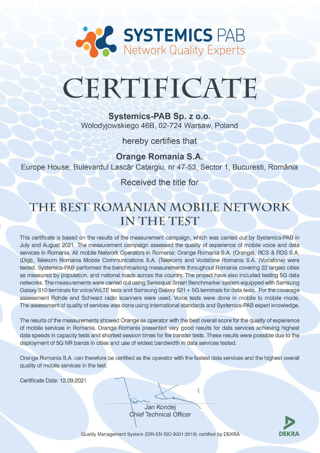

# CERTIFICATE

Systemics-PAB Sp. z o.o. Wolodyjowskiego 46B, 02-724 Warsaw, Poland

hereby certifies that

**Orange Romania S.A.** Europe House, Bulevardul Lascãr Catargiu, nr 47-53, Sector 1, Bucuresti, România

Received the title for

## THE BEST ROMANIAN MOBILE NETWORK IN THE TEST

This certificate is based on the results of the measurement campaign, which was carried out by Systemics-PAB in July and August 2021. The measurement campaign assessed the quality of experience of mobile voice and data services in Romania. All mobile Network Operators in Romania: Orange Romania S.A. (Orange), RCS & RDS S.A. (Digi), Telekom Romania Mobile Communications S.A. (Telekom) and Vodafone Romania S.A. (Vodafone) were tested. Systemics-PAB performed the benchmarking measurements throughout Romania covering 22 largest cities as measured by population, and national roads across the country. The project have also included testing 5G data networks. The measurements were carried out using Swissqual Smart Benchmarker system equipped with Samsung Galaxy S10 terminals for voice/VoLTE tests and Samsung Galaxy S21 + 5G terminals for data tests. For the coverage assessment Rohde and Schwarz radio scanners were used. Voice tests were done in mobile to mobile mode. The assessment of quality of services was done using international standards and Systemics-PAB expert knowledge.

The results of the measurements showed Orange as operator with the best overall score for the quality of experience of mobile services in Romania. Orange Romania presented very good results for data services achieving highest data speeds in capacity tests and shortest session times for file transfer tests. These results were possible due to the deployment of 5G NR bands in cities and use of widest bandwidth in data services tested.

Orange Romania S.A. can therefore be certified as the operator with the fastest data services and the highest overall quality of mobile services in the test.

Certificate Date: 12.09.2021

Jan Kondej **Chief Technical Officer** 

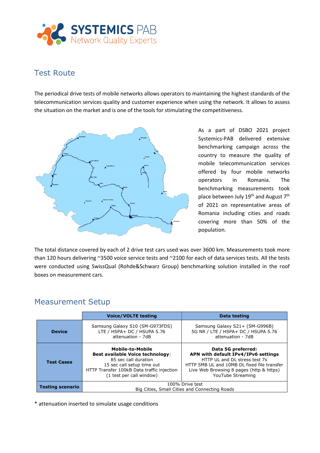

### Test Route

The periodical drive tests of mobile networks allows operators to maintaining the highest standards of the telecommunication services quality and customer experience when using the network. It allows to assess the situation on the market and is one of the tools for stimulating the competitiveness.



As a part of DSBO 2021 project Systemics-PAB delivered extensive benchmarking campaign across the country to measure the quality of mobile telecommunication services offered by four mobile networks operators in Romania. The benchmarking measurements took place between July 19<sup>th</sup> and August 7<sup>th</sup> of 2021 on representative areas of Romania including cities and roads covering more than 50% of the population.

The total distance covered by each of 2 drive test cars used was over 3600 km. Measurements took more than 120 hours delivering ~3500 voice service tests and ~2100 for each of data services tests. All the tests were conducted using SwissQual (Rohde&Schwarz Group) benchmarking solution installed in the roof boxes on measurement cars.

#### Measurement Setup

|                         | <b>Voice/VOLTE testing</b>                                                                                                                                                                         | Data testing                                                                                                                                                                                               |
|-------------------------|----------------------------------------------------------------------------------------------------------------------------------------------------------------------------------------------------|------------------------------------------------------------------------------------------------------------------------------------------------------------------------------------------------------------|
| <b>Device</b>           | Samsung Galaxy S10 (SM-G973FDS)<br>LTE / HSPA+ DC / HSUPA 5.76<br>attenuation - 7dB                                                                                                                | Samsung Galaxy S21+ (SM-G996B)<br>5G NR / LTE / HSPA+ DC / HSUPA 5.76<br>attenuation - 7dB                                                                                                                 |
| <b>Test Cases</b>       | <b>Mobile-to-Mobile</b><br><b>Best available Voice technology:</b><br>85 sec call duration<br>15 sec call setup time out<br>HTTP Transfer 100kB Data traffic injection<br>(1 test per call window) | Data 5G preferred:<br>APN with default IPv4/IPv6 settings<br>HTTP UL and DL stress test 7s<br>HTTP 5MB UL and 10MB DL fixed file transfer<br>Live Web Browsing 8 pages (http & https)<br>YouTube Streaming |
| <b>Testing scenario</b> | 100% Drive test<br>Big Cities, Small Cities and Connecting Roads                                                                                                                                   |                                                                                                                                                                                                            |

\* attenuation inserted to simulate usage conditions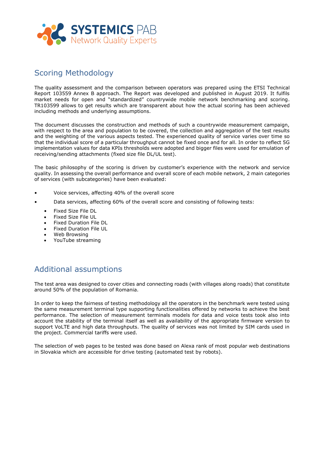

#### Scoring Methodology

The quality assessment and the comparison between operators was prepared using the ETSI Technical Report 103559 Annex B approach. The Report was developed and published in August 2019. It fulfils market needs for open and "standardized" countrywide mobile network benchmarking and scoring. TR103599 allows to get results which are transparent about how the actual scoring has been achieved including methods and underlying assumptions.

The document discusses the construction and methods of such a countrywide measurement campaign, with respect to the area and population to be covered, the collection and aggregation of the test results and the weighting of the various aspects tested. The experienced quality of service varies over time so that the individual score of a particular throughput cannot be fixed once and for all. In order to reflect 5G implementation values for data KPIs thresholds were adopted and bigger files were used for emulation of receiving/sending attachments (fixed size file DL/UL test).

The basic philosophy of the scoring is driven by customer's experience with the network and service quality. In assessing the overall performance and overall score of each mobile network, 2 main categories of services (with subcategories) have been evaluated:

- Voice services, affecting 40% of the overall score
- Data services, affecting 60% of the overall score and consisting of following tests:
	- Fixed Size File DL
	- Fixed Size File UL
	- Fixed Duration File DL
	- Fixed Duration File UL
	- Web Browsing
	- YouTube streaming

### Additional assumptions

The test area was designed to cover cities and connecting roads (with villages along roads) that constitute around 50% of the population of Romania.

In order to keep the fairness of testing methodology all the operators in the benchmark were tested using the same measurement terminal type supporting functionalities offered by networks to achieve the best performance. The selection of measurement terminals models for data and voice tests took also into account the stability of the terminal itself as well as availability of the appropriate firmware version to support VoLTE and high data throughputs. The quality of services was not limited by SIM cards used in the project. Commercial tariffs were used.

The selection of web pages to be tested was done based on Alexa rank of most popular web destinations in Slovakia which are accessible for drive testing (automated test by robots).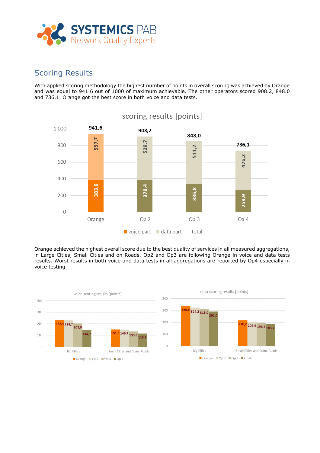

#### Scoring Results

With applied scoring methodology the highest number of points in overall scoring was achieved by Orange and was equal to 941.6 out of 1000 of maximum achievable. The other operators scored 908.2, 848.0 and 736.1. Orange got the best score in both voice and data tests.



Orange achieved the highest overall score due to the best quality of services in all measured aggregations, in Large Cities, Small Cities and on Roads. Op2 and Op3 are following Orange in voice and data tests results. Worst results in both voice and data tests in all aggregations are reported by Op4 especially in voice testing.

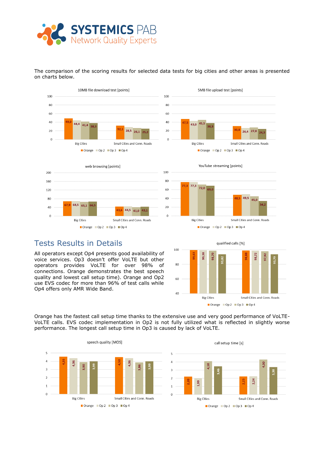

The comparison of the scoring results for selected data tests for big cities and other areas is presented on charts below.











#### Tests Results in Details

All operators except Op4 presents good availability of voice services. Op3 doesn't offer VoLTE but other operators provides VoLTE for over 98% of connections. Orange demonstrates the best speech quality and lowest call setup time). Orange and Op2 use EVS codec for more than 96% of test calls while Op4 offers only AMR Wide Band.

qualified calls [%] 100 ã 97,92  $80^{\circ}$ 60  $40$ Small Cities and Conn. Roads **Big Cities** Orange Op 2 Op 3 Op 4

Orange has the fastest call setup time thanks to the extensive use and very good performance of VoLTE-VoLTE calls. EVS codec implementation in Op2 is not fully utilized what is reflected in slightly worse performance. The longest call setup time in Op3 is caused by lack of VoLTE.

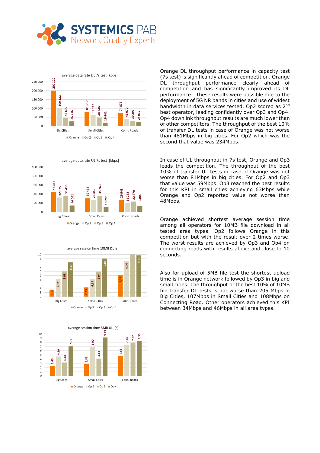



100 000 80,000 44 35 60 000 35763 32075 35433 30432 26359 26948 19 293 22770 40 000 14061 10790 20 000 r.  $\overline{0}$ **Big Cities Small Cities** Conn. Roads Orange Op 2 Op 3 Op 4





Orange DL throughput performance in capacity test (7s test) is significantly ahead of competition. Orange DL throughput performance clearly ahead of competition and has significantly improved its DL performance. These results were possible due to the deployment of 5G NR bands in cities and use of widest bandwidth in data services tested. Op2 scored as 2nd best operator, leading confidently over Op3 and Op4. Op4 downlink throughput results are much lower than of other competitors. The throughput of the best 10% of transfer DL tests in case of Orange was not worse than 481Mbps in big cities. For Op2 which was the second that value was 234Mbps.

In case of UL throughput in 7s test, Orange and Op3 leads the competition. The throughput of the best 10% of transfer UL tests in case of Orange was not worse than 81Mbps in big cities. For Op2 and Op3 that value was 59Mbps. Op3 reached the best results for this KPI in small cities achieving 63Mbps while Orange and Op2 reported value not worse than 48Mbps.

Orange achieved shortest average session time among all operators for 10MB file download in all tested area types. Op2 follows Orange in this competition but with the result over 2 times worse. The worst results are achieved by Op3 and Op4 on connecting roads with results above and close to 10 seconds.

Also for upload of 5MB file test the shortest upload time is in Orange network followed by Op3 in big and small cities. The throughput of the best 10% of 10MB file transfer DL tests is not worse than 205 Mbps in Big Cities, 107Mbps in Small Cities and 108Mbps on Connecting Road. Other operators achieved this KPI between 34Mbps and 46Mbps in all area types.

average data rate UL 7s test [kbps]